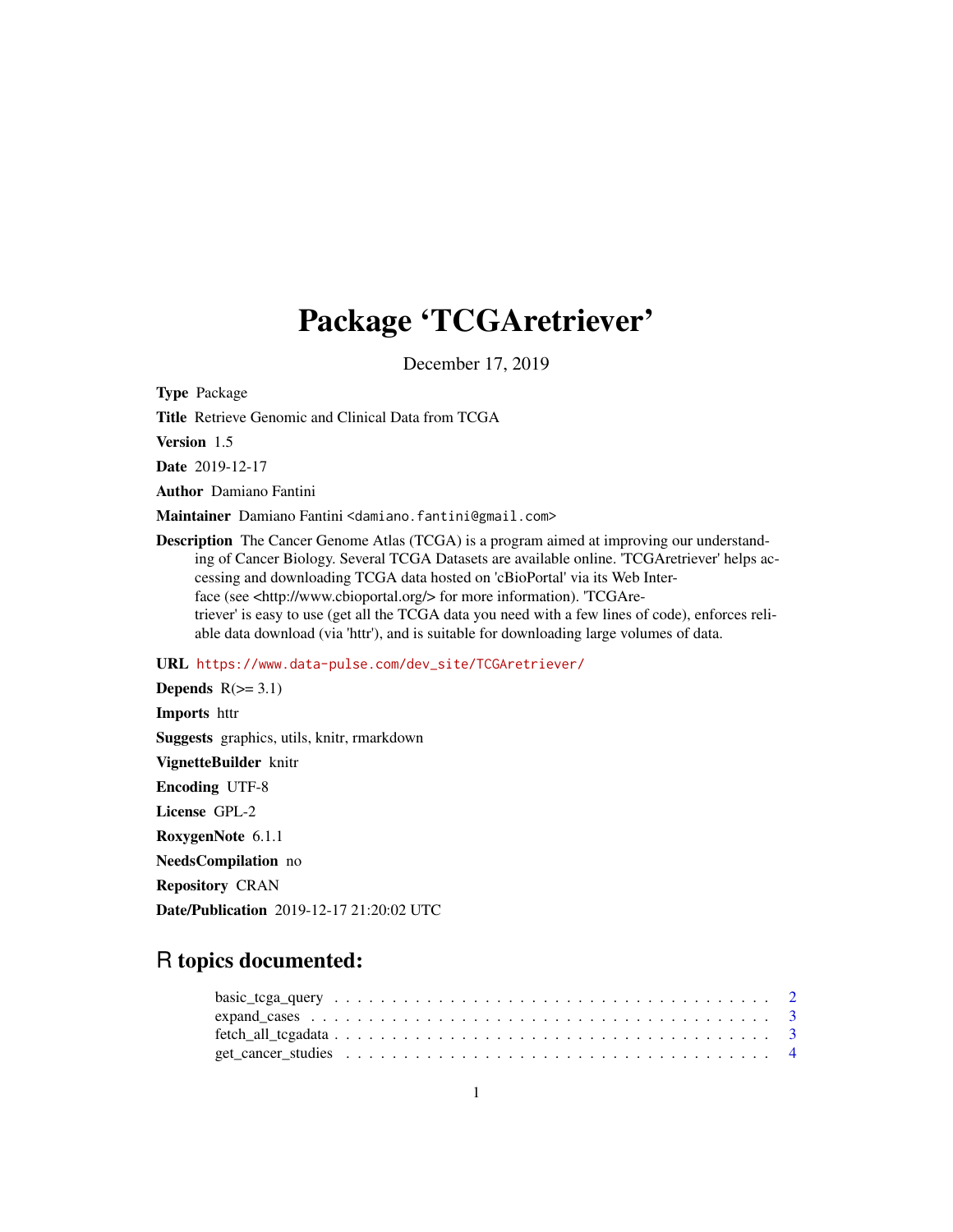# Package 'TCGAretriever'

December 17, 2019

Type Package

Title Retrieve Genomic and Clinical Data from TCGA

Version 1.5

Date 2019-12-17

Author Damiano Fantini

Maintainer Damiano Fantini <damiano.fantini@gmail.com>

Description The Cancer Genome Atlas (TCGA) is a program aimed at improving our understanding of Cancer Biology. Several TCGA Datasets are available online. 'TCGAretriever' helps accessing and downloading TCGA data hosted on 'cBioPortal' via its Web Interface (see <http://www.cbioportal.org/> for more information). 'TCGAretriever' is easy to use (get all the TCGA data you need with a few lines of code), enforces reliable data download (via 'httr'), and is suitable for downloading large volumes of data.

#### URL [https://www.data-pulse.com/dev\\_site/TCGAretriever/](https://www.data-pulse.com/dev_site/TCGAretriever/)

Depends  $R(>= 3.1)$ Imports httr Suggests graphics, utils, knitr, rmarkdown VignetteBuilder knitr Encoding UTF-8 License GPL-2 RoxygenNote 6.1.1 NeedsCompilation no Repository CRAN

# Date/Publication 2019-12-17 21:20:02 UTC

## R topics documented: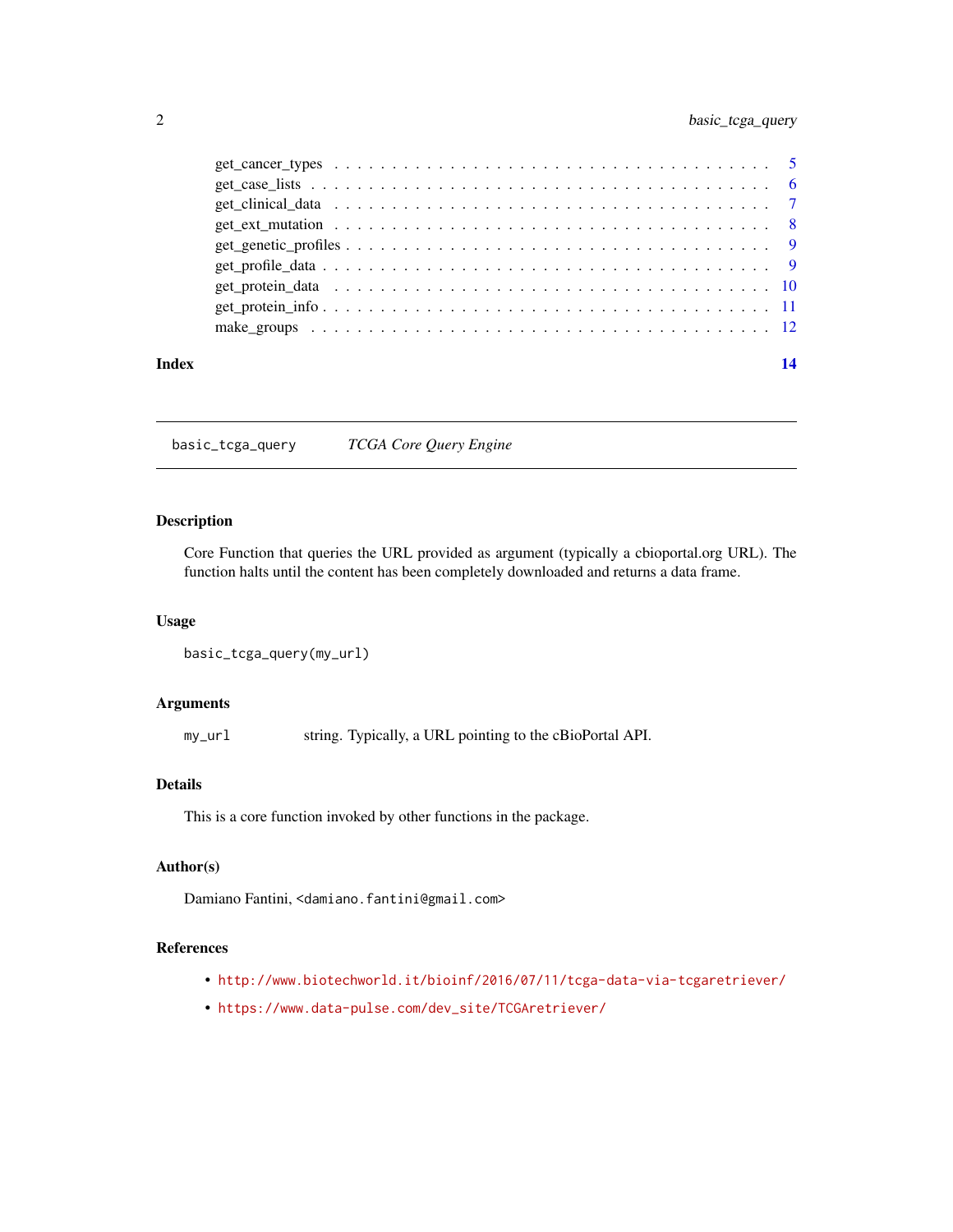<span id="page-1-0"></span>

| Index | 14 |
|-------|----|
|       |    |
|       |    |
|       |    |
|       |    |
|       |    |
|       |    |
|       |    |
|       |    |
|       |    |

basic\_tcga\_query *TCGA Core Query Engine*

#### Description

Core Function that queries the URL provided as argument (typically a cbioportal.org URL). The function halts until the content has been completely downloaded and returns a data frame.

#### Usage

```
basic_tcga_query(my_url)
```
#### Arguments

my\_url string. Typically, a URL pointing to the cBioPortal API.

#### Details

This is a core function invoked by other functions in the package.

### Author(s)

Damiano Fantini, <damiano.fantini@gmail.com>

#### References

- <http://www.biotechworld.it/bioinf/2016/07/11/tcga-data-via-tcgaretriever/>
- [https://www.data-pulse.com/dev\\_site/TCGAretriever/](https://www.data-pulse.com/dev_site/TCGAretriever/)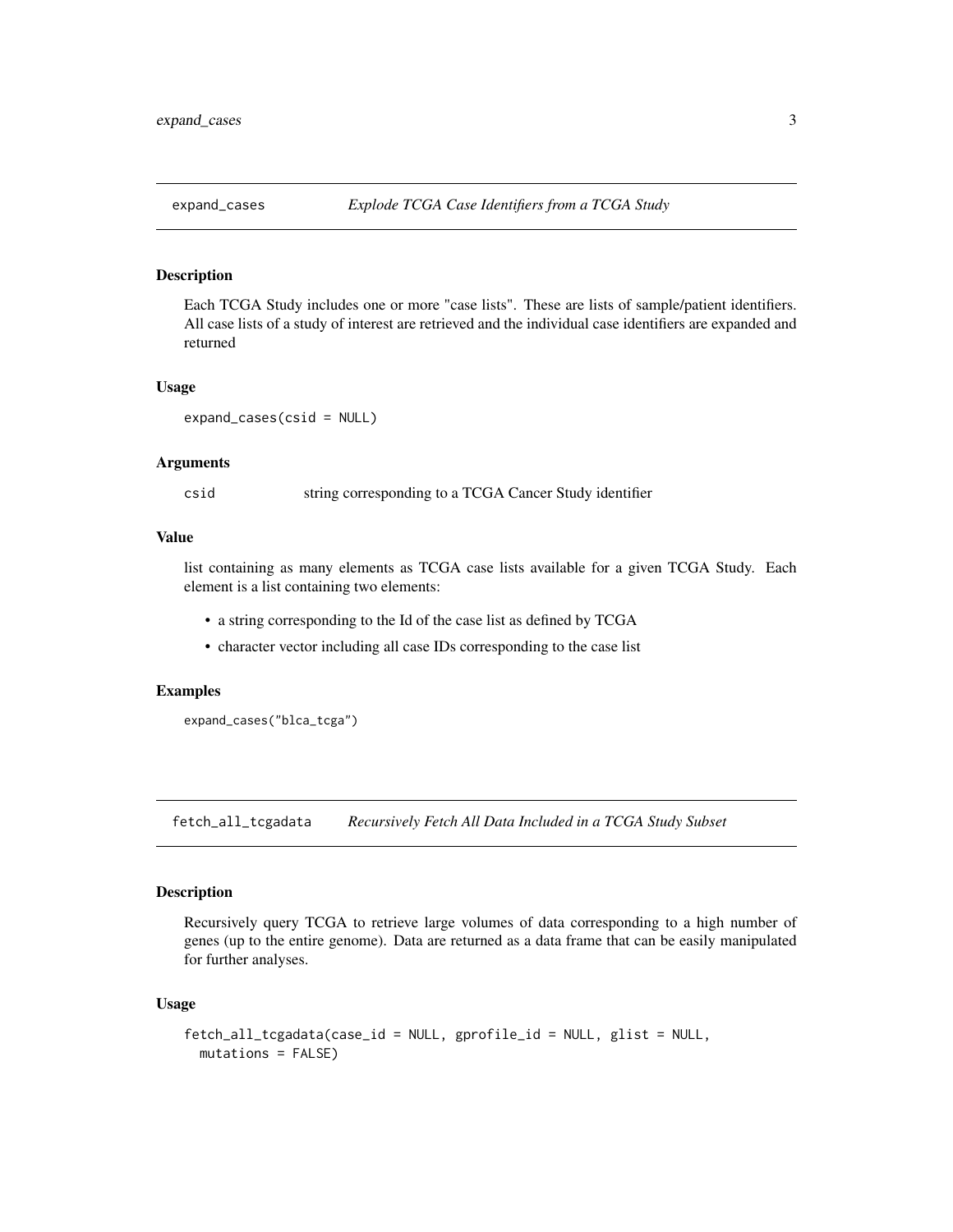<span id="page-2-0"></span>

#### Description

Each TCGA Study includes one or more "case lists". These are lists of sample/patient identifiers. All case lists of a study of interest are retrieved and the individual case identifiers are expanded and returned

#### Usage

expand\_cases(csid = NULL)

#### Arguments

csid string corresponding to a TCGA Cancer Study identifier

#### Value

list containing as many elements as TCGA case lists available for a given TCGA Study. Each element is a list containing two elements:

- a string corresponding to the Id of the case list as defined by TCGA
- character vector including all case IDs corresponding to the case list

#### Examples

expand\_cases("blca\_tcga")

fetch\_all\_tcgadata *Recursively Fetch All Data Included in a TCGA Study Subset*

#### Description

Recursively query TCGA to retrieve large volumes of data corresponding to a high number of genes (up to the entire genome). Data are returned as a data frame that can be easily manipulated for further analyses.

#### Usage

```
fetch_all_tcgadata(case_id = NULL, gprofile_id = NULL, glist = NULL,
 mutations = FALSE)
```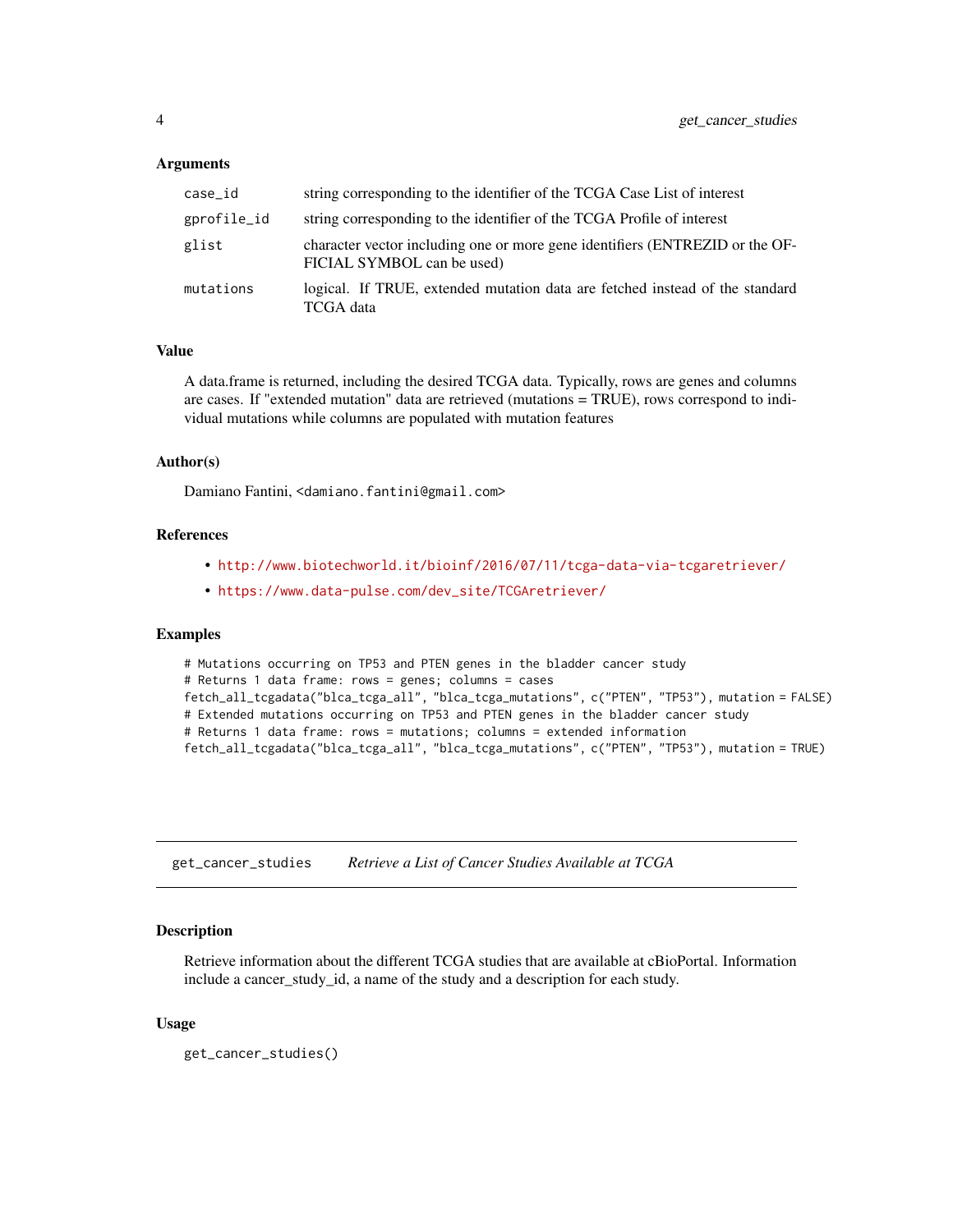#### <span id="page-3-0"></span>Arguments

| case_id     | string corresponding to the identifier of the TCGA Case List of interest                                   |
|-------------|------------------------------------------------------------------------------------------------------------|
| gprofile_id | string corresponding to the identifier of the TCGA Profile of interest                                     |
| glist       | character vector including one or more gene identifiers (ENTREZID or the OF-<br>FICIAL SYMBOL can be used) |
| mutations   | logical. If TRUE, extended mutation data are fetched instead of the standard<br>TCGA data                  |

#### Value

A data.frame is returned, including the desired TCGA data. Typically, rows are genes and columns are cases. If "extended mutation" data are retrieved (mutations = TRUE), rows correspond to individual mutations while columns are populated with mutation features

#### Author(s)

Damiano Fantini, <damiano.fantini@gmail.com>

#### References

- <http://www.biotechworld.it/bioinf/2016/07/11/tcga-data-via-tcgaretriever/>
- [https://www.data-pulse.com/dev\\_site/TCGAretriever/](https://www.data-pulse.com/dev_site/TCGAretriever/)

#### Examples

```
# Mutations occurring on TP53 and PTEN genes in the bladder cancer study
# Returns 1 data frame: rows = genes; columns = cases
fetch_all_tcgadata("blca_tcga_all", "blca_tcga_mutations", c("PTEN", "TP53"), mutation = FALSE)
# Extended mutations occurring on TP53 and PTEN genes in the bladder cancer study
# Returns 1 data frame: rows = mutations; columns = extended information
fetch_all_tcgadata("blca_tcga_all", "blca_tcga_mutations", c("PTEN", "TP53"), mutation = TRUE)
```
get\_cancer\_studies *Retrieve a List of Cancer Studies Available at TCGA*

#### Description

Retrieve information about the different TCGA studies that are available at cBioPortal. Information include a cancer\_study\_id, a name of the study and a description for each study.

#### Usage

get\_cancer\_studies()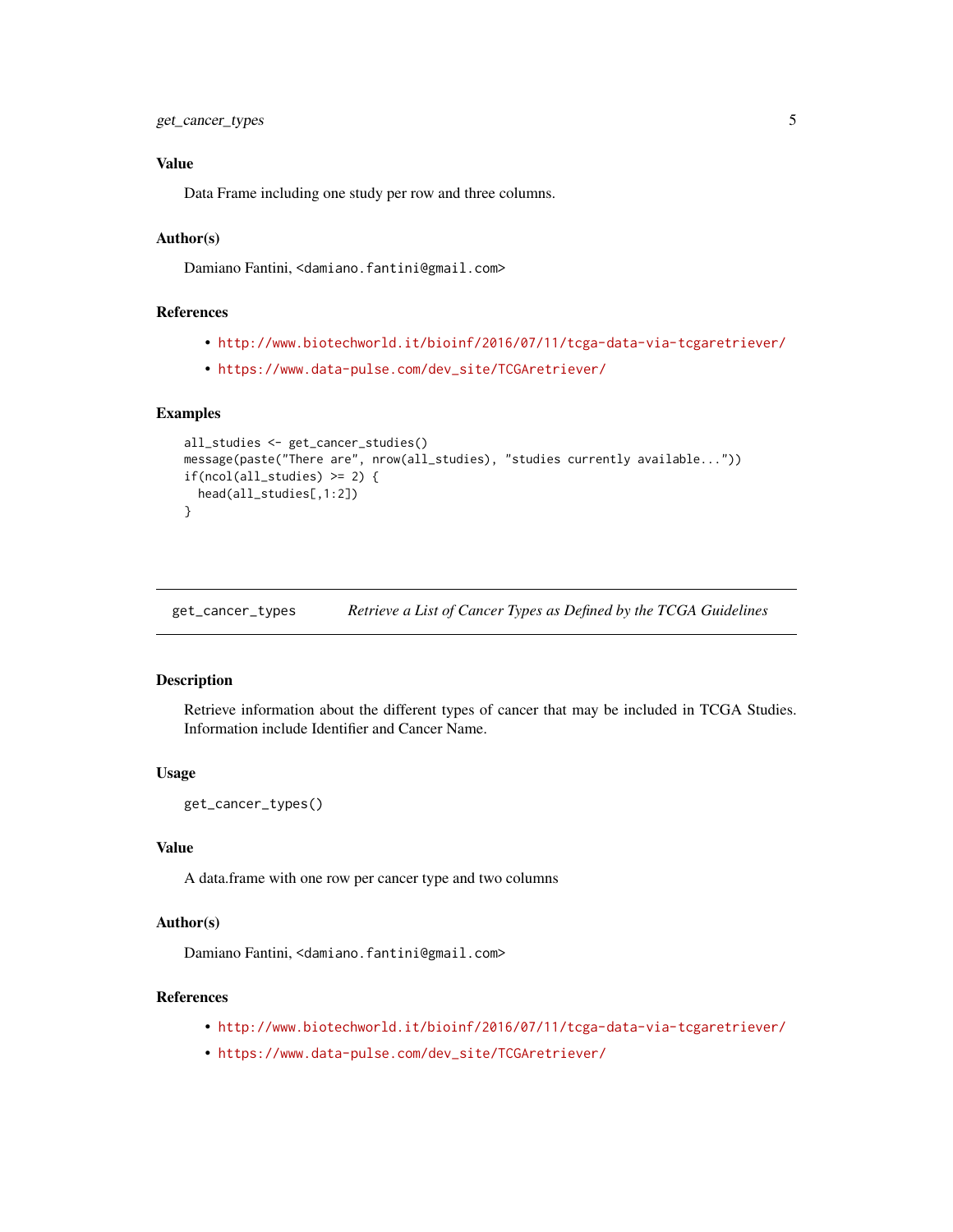#### <span id="page-4-0"></span>Value

Data Frame including one study per row and three columns.

#### Author(s)

Damiano Fantini, <damiano.fantini@gmail.com>

#### References

- <http://www.biotechworld.it/bioinf/2016/07/11/tcga-data-via-tcgaretriever/>
- [https://www.data-pulse.com/dev\\_site/TCGAretriever/](https://www.data-pulse.com/dev_site/TCGAretriever/)

#### Examples

```
all_studies <- get_cancer_studies()
message(paste("There are", nrow(all_studies), "studies currently available..."))
if(ncol(all-studies) \geq 2) {
 head(all_studies[,1:2])
}
```
get\_cancer\_types *Retrieve a List of Cancer Types as Defined by the TCGA Guidelines*

#### Description

Retrieve information about the different types of cancer that may be included in TCGA Studies. Information include Identifier and Cancer Name.

#### Usage

```
get_cancer_types()
```
#### Value

A data.frame with one row per cancer type and two columns

#### Author(s)

Damiano Fantini, <damiano.fantini@gmail.com>

#### References

- <http://www.biotechworld.it/bioinf/2016/07/11/tcga-data-via-tcgaretriever/>
- [https://www.data-pulse.com/dev\\_site/TCGAretriever/](https://www.data-pulse.com/dev_site/TCGAretriever/)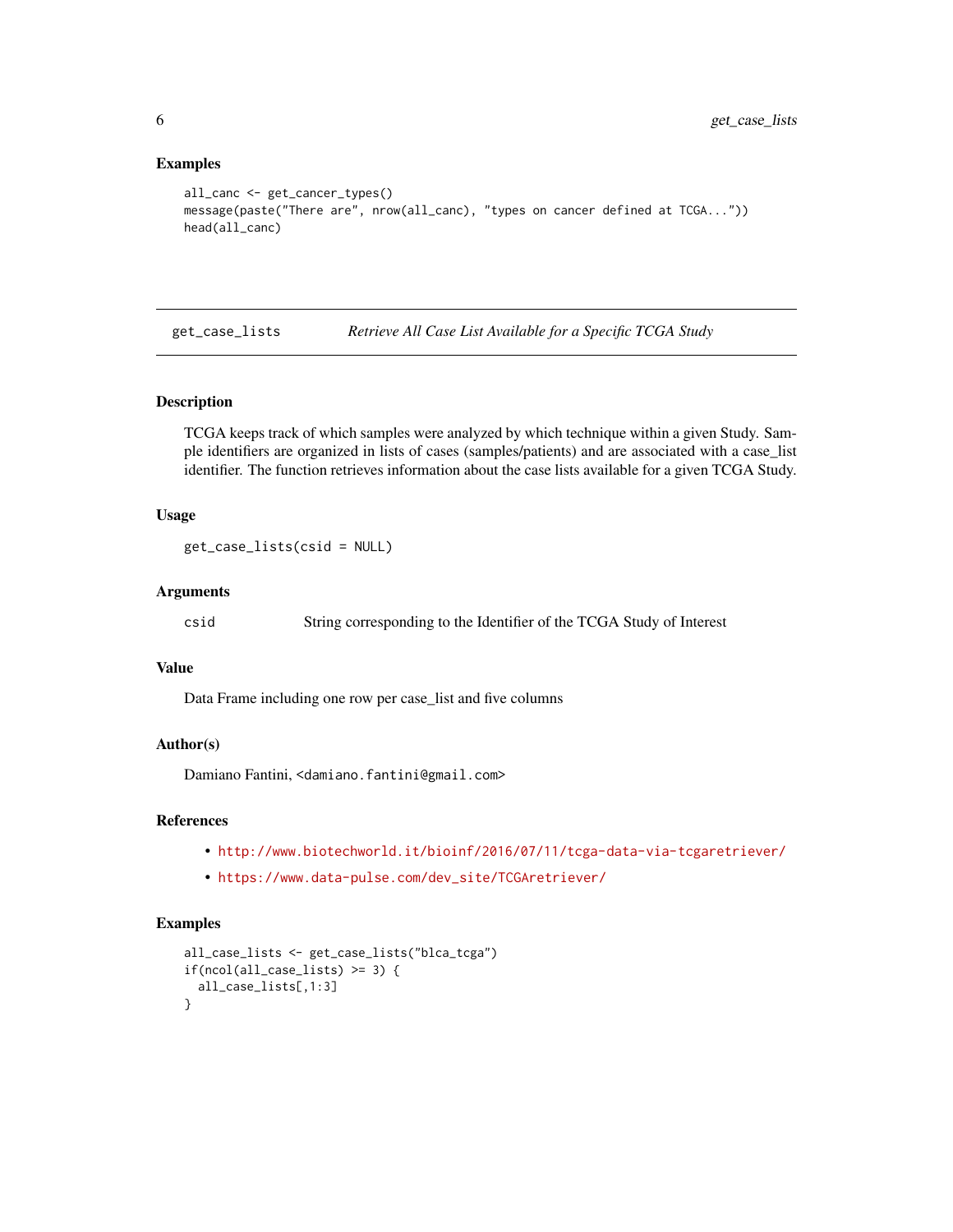#### Examples

```
all_canc <- get_cancer_types()
message(paste("There are", nrow(all_canc), "types on cancer defined at TCGA..."))
head(all_canc)
```
get\_case\_lists *Retrieve All Case List Available for a Specific TCGA Study*

#### **Description**

TCGA keeps track of which samples were analyzed by which technique within a given Study. Sample identifiers are organized in lists of cases (samples/patients) and are associated with a case\_list identifier. The function retrieves information about the case lists available for a given TCGA Study.

### Usage

```
get_case_lists(csid = NULL)
```
#### Arguments

csid String corresponding to the Identifier of the TCGA Study of Interest

#### Value

Data Frame including one row per case\_list and five columns

#### Author(s)

Damiano Fantini, <damiano.fantini@gmail.com>

#### References

- <http://www.biotechworld.it/bioinf/2016/07/11/tcga-data-via-tcgaretriever/>
- [https://www.data-pulse.com/dev\\_site/TCGAretriever/](https://www.data-pulse.com/dev_site/TCGAretriever/)

```
all_case_lists <- get_case_lists("blca_tcga")
if(ncol(all-case_list) \geq 3) {
 all_case_lists[,1:3]
}
```
<span id="page-5-0"></span>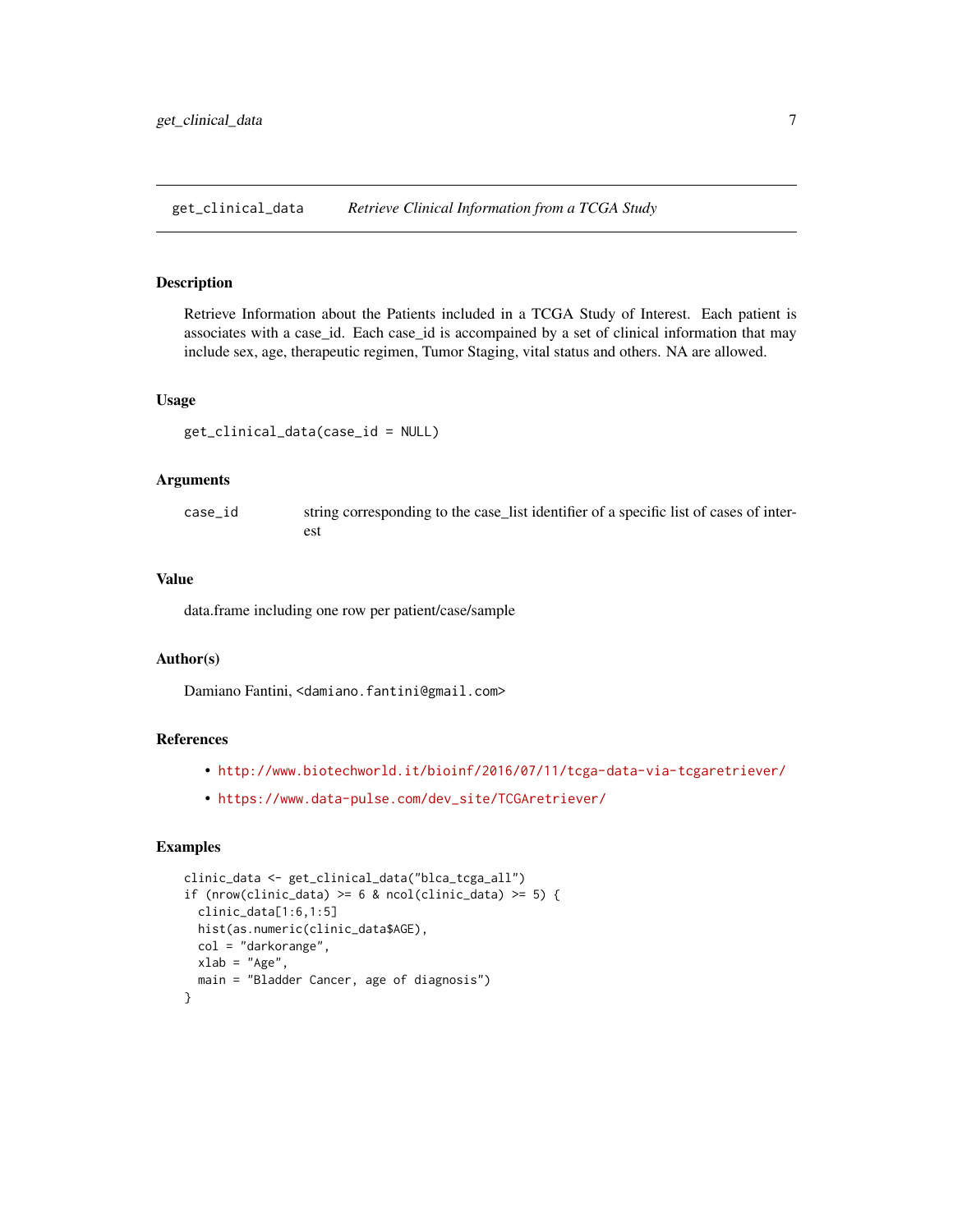<span id="page-6-0"></span>get\_clinical\_data *Retrieve Clinical Information from a TCGA Study*

#### Description

Retrieve Information about the Patients included in a TCGA Study of Interest. Each patient is associates with a case\_id. Each case\_id is accompained by a set of clinical information that may include sex, age, therapeutic regimen, Tumor Staging, vital status and others. NA are allowed.

#### Usage

```
get_clinical_data(case_id = NULL)
```
#### Arguments

| case id | string corresponding to the case_list identifier of a specific list of cases of inter- |
|---------|----------------------------------------------------------------------------------------|
|         | est                                                                                    |

#### Value

data.frame including one row per patient/case/sample

#### Author(s)

Damiano Fantini, <damiano.fantini@gmail.com>

#### References

- <http://www.biotechworld.it/bioinf/2016/07/11/tcga-data-via-tcgaretriever/>
- [https://www.data-pulse.com/dev\\_site/TCGAretriever/](https://www.data-pulse.com/dev_site/TCGAretriever/)

```
clinic_data <- get_clinical_data("blca_tcga_all")
if (nrow(clinic_data) >= 6 & ncol(clinic_data) >= 5) {
 clinic_data[1:6,1:5]
 hist(as.numeric(clinic_data$AGE),
 col = "darkorange",
 xlab = "Age",main = "Bladder Cancer, age of diagnosis")
}
```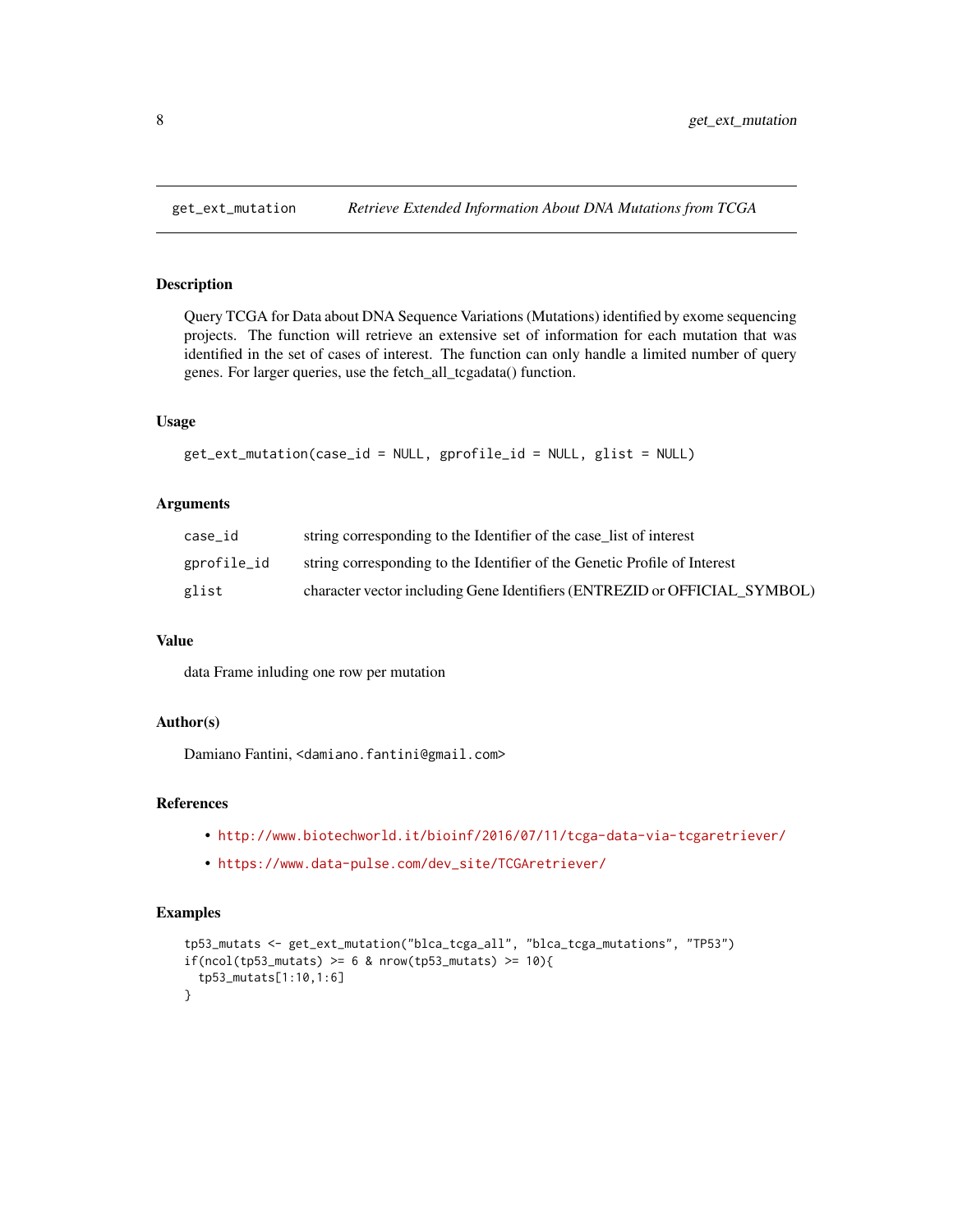#### Description

Query TCGA for Data about DNA Sequence Variations (Mutations) identified by exome sequencing projects. The function will retrieve an extensive set of information for each mutation that was identified in the set of cases of interest. The function can only handle a limited number of query genes. For larger queries, use the fetch\_all\_tcgadata() function.

#### Usage

```
get_ext_mutation(case_id = NULL, gprofile_id = NULL, glist = NULL)
```
#### Arguments

| case id     | string corresponding to the Identifier of the case list of interest       |
|-------------|---------------------------------------------------------------------------|
| gprofile_id | string corresponding to the Identifier of the Genetic Profile of Interest |
| glist       | character vector including Gene Identifiers (ENTREZID or OFFICIAL SYMBOL) |

#### Value

data Frame inluding one row per mutation

#### Author(s)

Damiano Fantini, <damiano.fantini@gmail.com>

#### References

- <http://www.biotechworld.it/bioinf/2016/07/11/tcga-data-via-tcgaretriever/>
- [https://www.data-pulse.com/dev\\_site/TCGAretriever/](https://www.data-pulse.com/dev_site/TCGAretriever/)

```
tp53_mutats <- get_ext_mutation("blca_tcga_all", "blca_tcga_mutations", "TP53")
if(ncol(tp53_mutats) >= 6 & nrow(tp53_mutats) >= 10){
 tp53_mutats[1:10,1:6]
}
```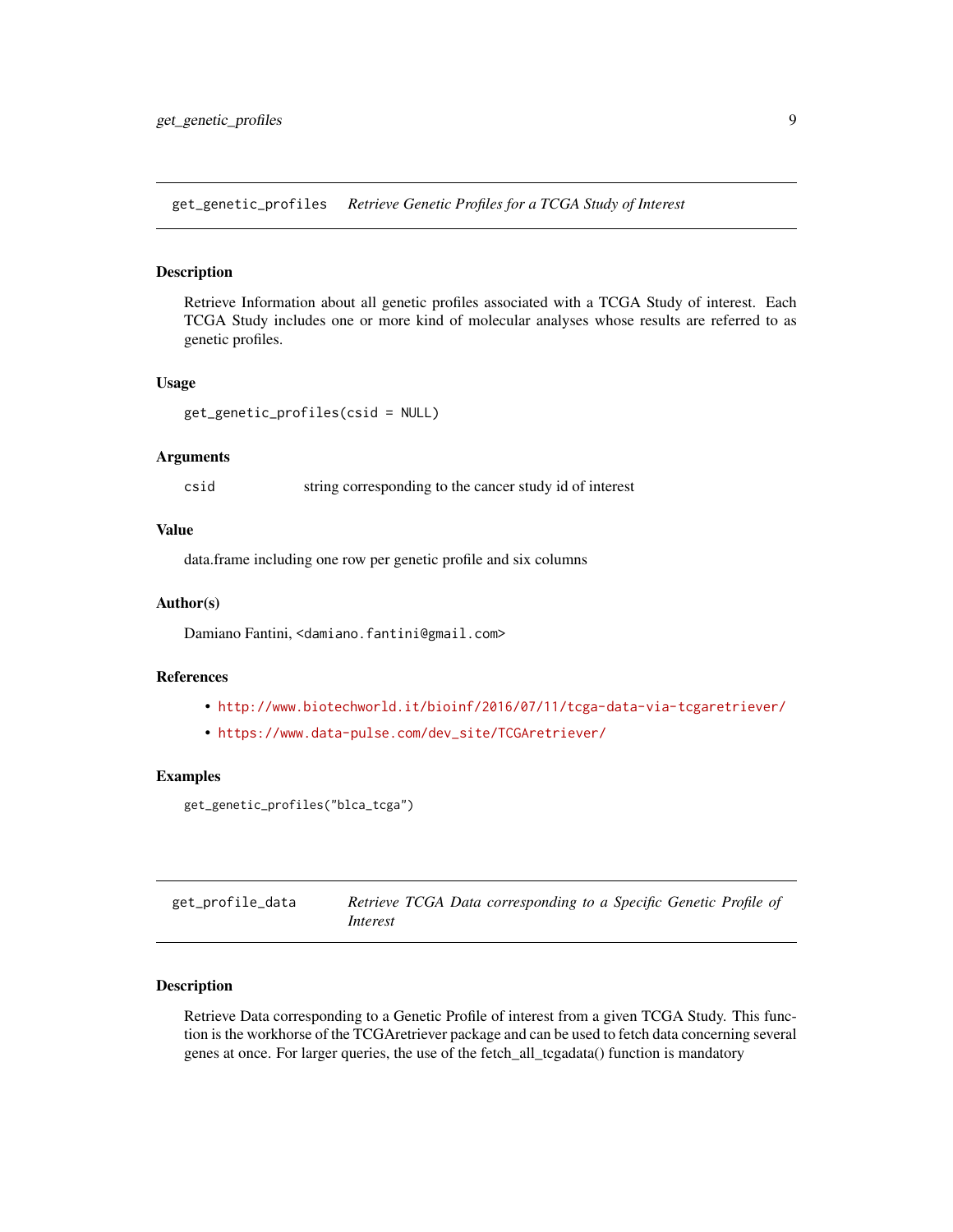<span id="page-8-0"></span>get\_genetic\_profiles *Retrieve Genetic Profiles for a TCGA Study of Interest*

#### Description

Retrieve Information about all genetic profiles associated with a TCGA Study of interest. Each TCGA Study includes one or more kind of molecular analyses whose results are referred to as genetic profiles.

#### Usage

```
get_genetic_profiles(csid = NULL)
```
#### Arguments

csid string corresponding to the cancer study id of interest

#### Value

data.frame including one row per genetic profile and six columns

#### Author(s)

Damiano Fantini, <damiano.fantini@gmail.com>

#### References

- <http://www.biotechworld.it/bioinf/2016/07/11/tcga-data-via-tcgaretriever/>
- [https://www.data-pulse.com/dev\\_site/TCGAretriever/](https://www.data-pulse.com/dev_site/TCGAretriever/)

#### Examples

```
get_genetic_profiles("blca_tcga")
```

| get_profile_data | Retrieve TCGA Data corresponding to a Specific Genetic Profile of |
|------------------|-------------------------------------------------------------------|
|                  | Interest                                                          |

#### Description

Retrieve Data corresponding to a Genetic Profile of interest from a given TCGA Study. This function is the workhorse of the TCGAretriever package and can be used to fetch data concerning several genes at once. For larger queries, the use of the fetch\_all\_tcgadata() function is mandatory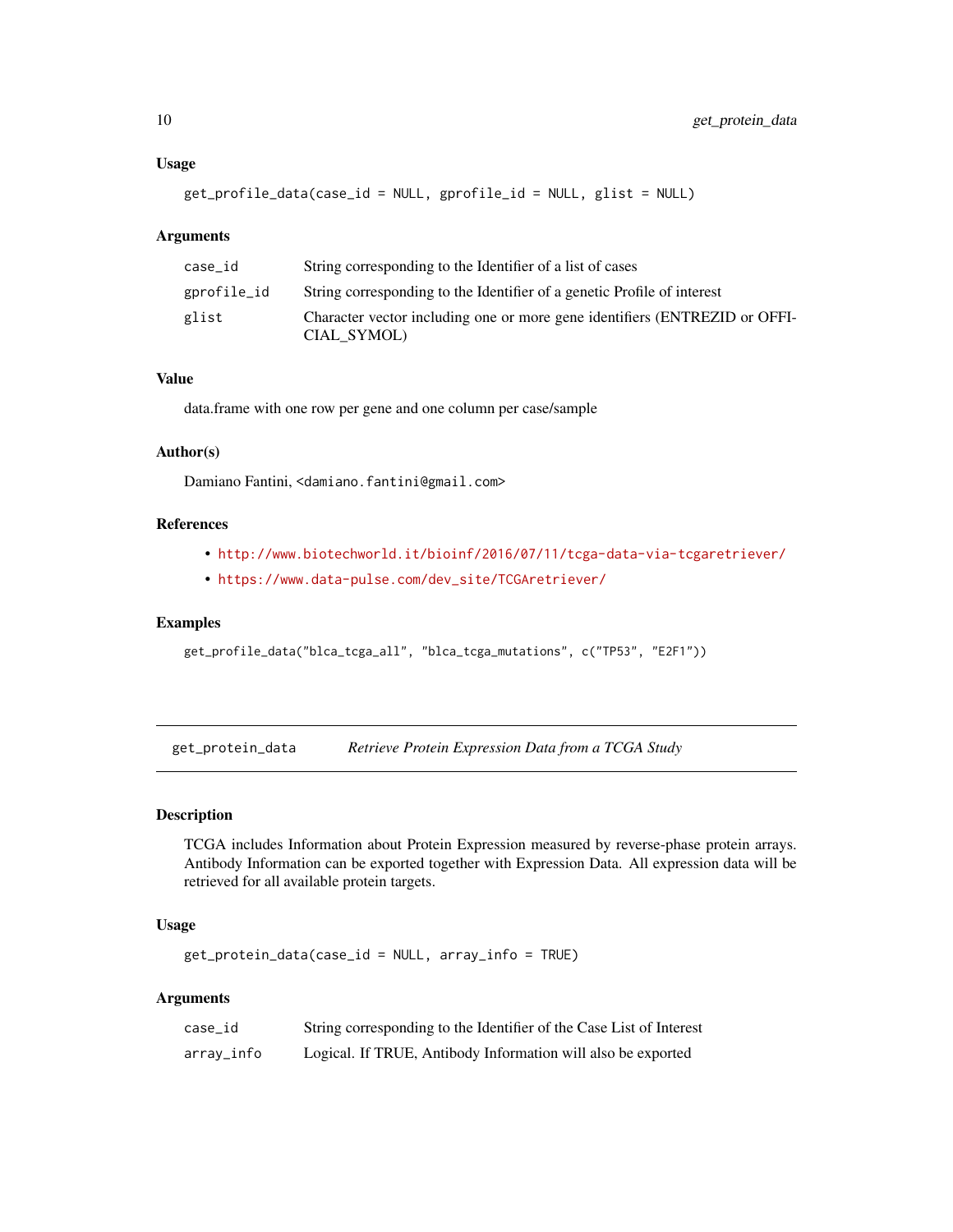#### Usage

get\_profile\_data(case\_id = NULL, gprofile\_id = NULL, glist = NULL)

#### Arguments

| case_id     | String corresponding to the Identifier of a list of cases                                 |
|-------------|-------------------------------------------------------------------------------------------|
| gprofile_id | String corresponding to the Identifier of a genetic Profile of interest                   |
| glist       | Character vector including one or more gene identifiers (ENTREZID or OFFI-<br>CIAL SYMOL) |

#### Value

data.frame with one row per gene and one column per case/sample

#### Author(s)

Damiano Fantini, <damiano.fantini@gmail.com>

#### References

- <http://www.biotechworld.it/bioinf/2016/07/11/tcga-data-via-tcgaretriever/>
- [https://www.data-pulse.com/dev\\_site/TCGAretriever/](https://www.data-pulse.com/dev_site/TCGAretriever/)

#### Examples

```
get_profile_data("blca_tcga_all", "blca_tcga_mutations", c("TP53", "E2F1"))
```
get\_protein\_data *Retrieve Protein Expression Data from a TCGA Study*

#### Description

TCGA includes Information about Protein Expression measured by reverse-phase protein arrays. Antibody Information can be exported together with Expression Data. All expression data will be retrieved for all available protein targets.

### Usage

get\_protein\_data(case\_id = NULL, array\_info = TRUE)

#### Arguments

| case id    | String corresponding to the Identifier of the Case List of Interest |
|------------|---------------------------------------------------------------------|
| array_info | Logical. If TRUE, Antibody Information will also be exported        |

<span id="page-9-0"></span>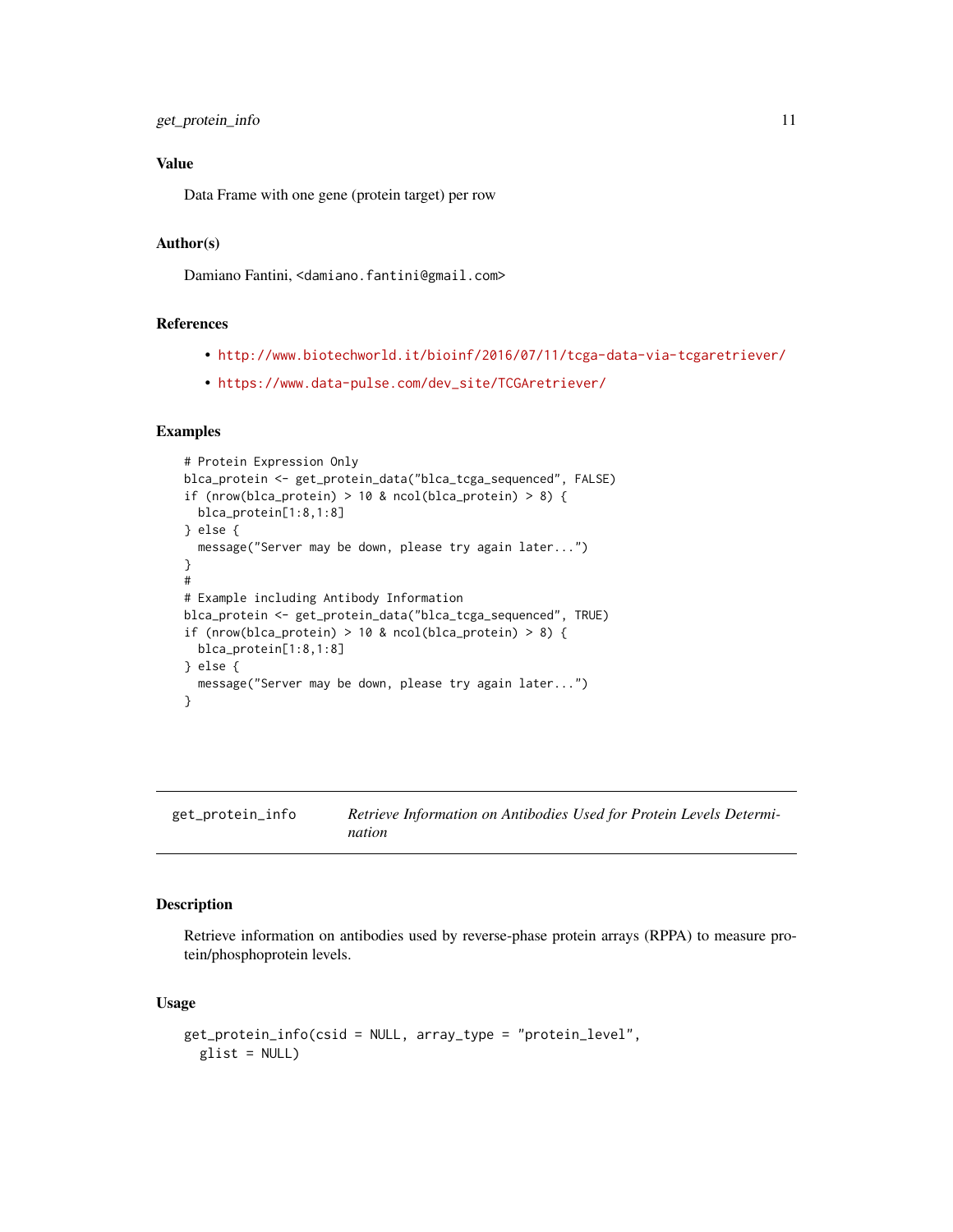#### <span id="page-10-0"></span>Value

Data Frame with one gene (protein target) per row

#### Author(s)

Damiano Fantini, <damiano.fantini@gmail.com>

#### References

- <http://www.biotechworld.it/bioinf/2016/07/11/tcga-data-via-tcgaretriever/>
- [https://www.data-pulse.com/dev\\_site/TCGAretriever/](https://www.data-pulse.com/dev_site/TCGAretriever/)

#### Examples

```
# Protein Expression Only
blca_protein <- get_protein_data("blca_tcga_sequenced", FALSE)
if (nrow(blca_protein) > 10 & ncol(blca_protein) > 8) {
  blca_protein[1:8,1:8]
} else {
  message("Server may be down, please try again later...")
}
#
# Example including Antibody Information
blca_protein <- get_protein_data("blca_tcga_sequenced", TRUE)
if (nrow(blca_protein) > 10 & ncol(blca_protein) > 8) {
  blca_protein[1:8,1:8]
} else {
  message("Server may be down, please try again later...")
}
```
get\_protein\_info *Retrieve Information on Antibodies Used for Protein Levels Determination*

#### Description

Retrieve information on antibodies used by reverse-phase protein arrays (RPPA) to measure protein/phosphoprotein levels.

#### Usage

```
get_protein_info(csid = NULL, array_type = "protein_level",
 glist = NULL)
```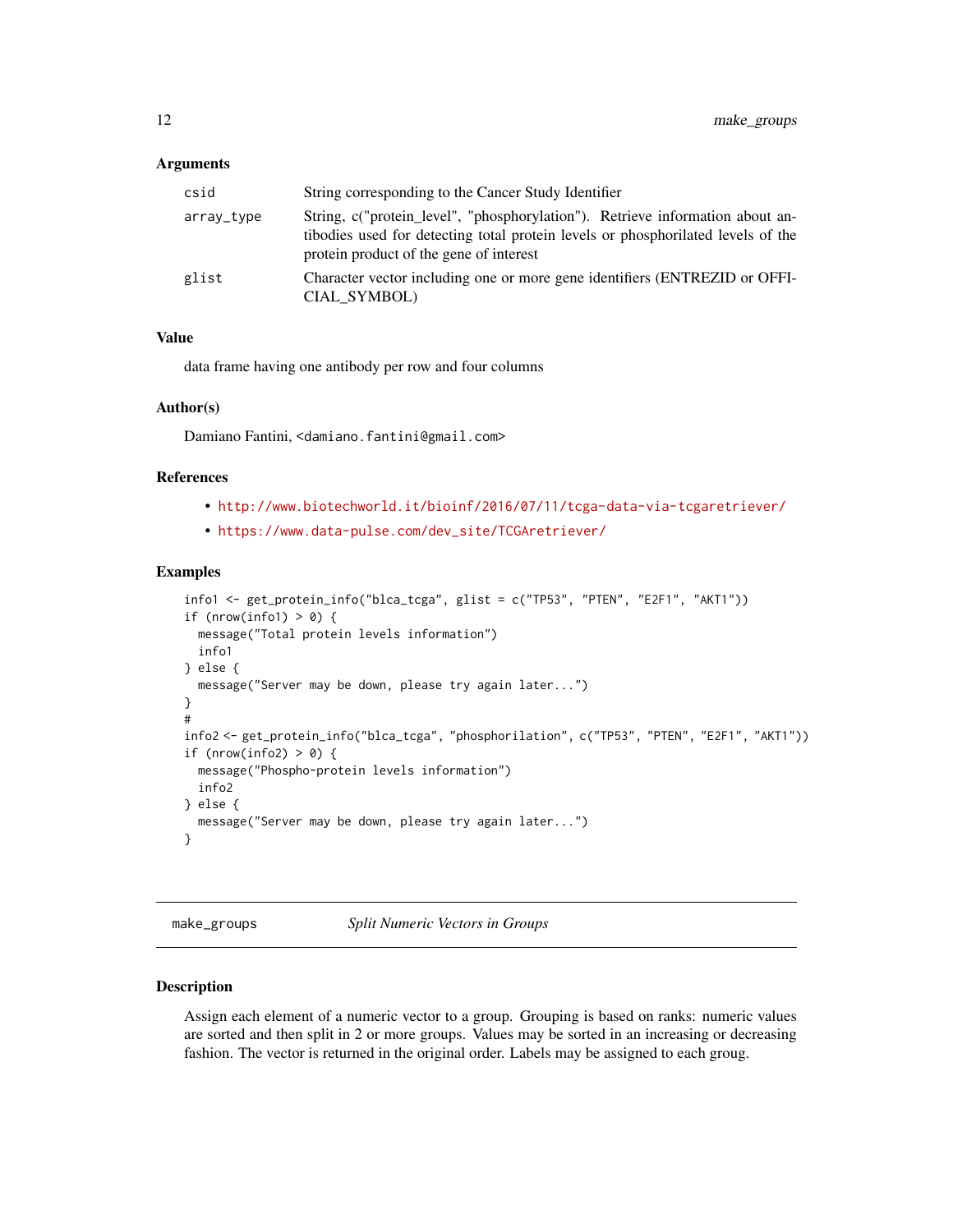#### <span id="page-11-0"></span>Arguments

| csid       | String corresponding to the Cancer Study Identifier                                                                                                                                                          |
|------------|--------------------------------------------------------------------------------------------------------------------------------------------------------------------------------------------------------------|
| array_type | String, c("protein_level", "phosphorylation"). Retrieve information about an-<br>tibodies used for detecting total protein levels or phosphorilated levels of the<br>protein product of the gene of interest |
| glist      | Character vector including one or more gene identifiers (ENTREZID or OFFI-<br>CIAL SYMBOL)                                                                                                                   |

#### Value

data frame having one antibody per row and four columns

#### Author(s)

Damiano Fantini, <damiano.fantini@gmail.com>

#### References

- <http://www.biotechworld.it/bioinf/2016/07/11/tcga-data-via-tcgaretriever/>
- [https://www.data-pulse.com/dev\\_site/TCGAretriever/](https://www.data-pulse.com/dev_site/TCGAretriever/)

#### Examples

```
info1 <- get_protein_info("blca_tcga", glist = c("TP53", "PTEN", "E2F1", "AKT1"))
if (nrow(info1) > 0) {
  message("Total protein levels information")
  info1
} else {
  message("Server may be down, please try again later...")
}
#
info2 <- get_protein_info("blca_tcga", "phosphorilation", c("TP53", "PTEN", "E2F1", "AKT1"))
if (nrow(info2) > 0) {
  message("Phospho-protein levels information")
  info2
} else {
  message("Server may be down, please try again later...")
}
```
make\_groups *Split Numeric Vectors in Groups*

#### Description

Assign each element of a numeric vector to a group. Grouping is based on ranks: numeric values are sorted and then split in 2 or more groups. Values may be sorted in an increasing or decreasing fashion. The vector is returned in the original order. Labels may be assigned to each groug.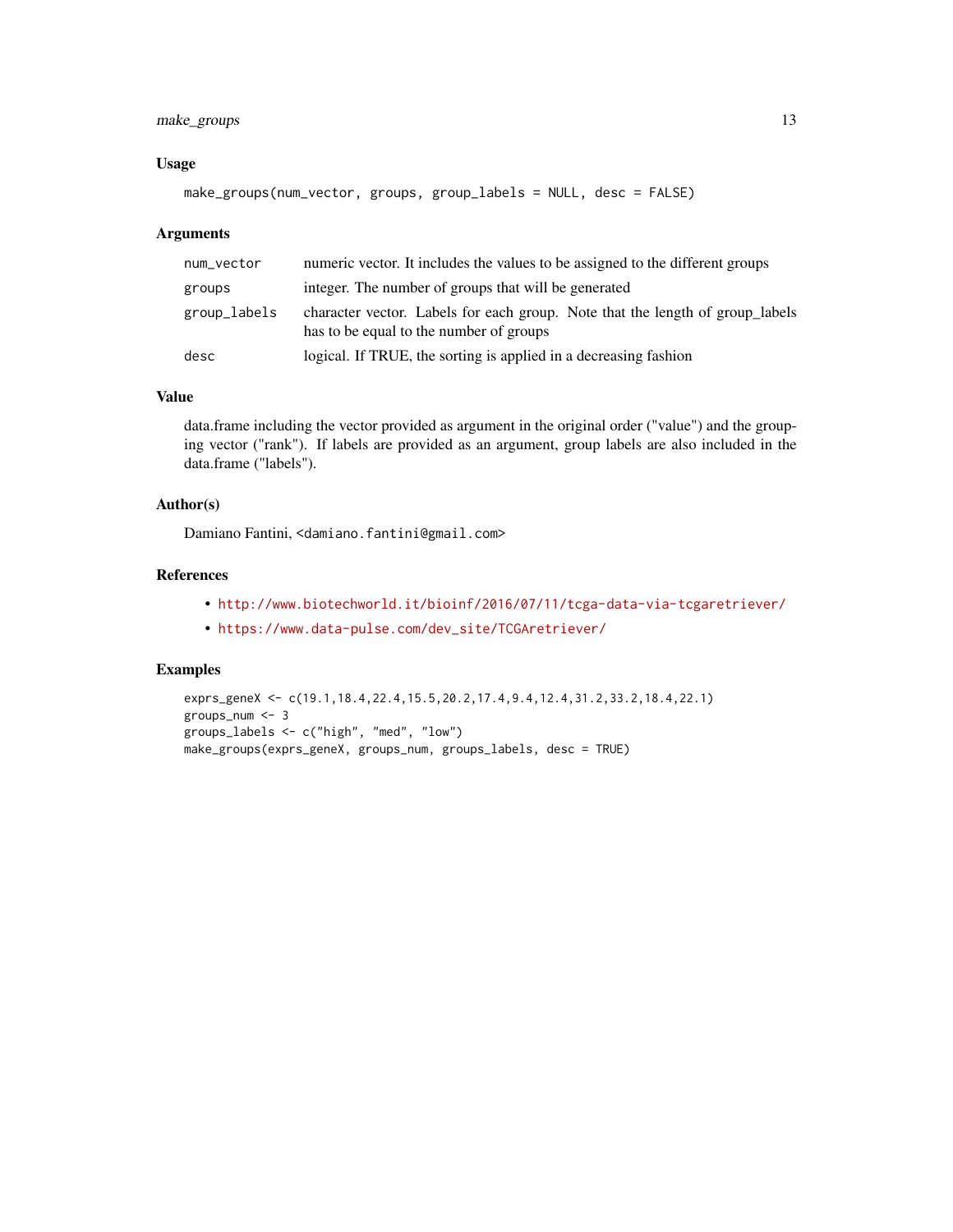#### make\_groups 13

#### Usage

make\_groups(num\_vector, groups, group\_labels = NULL, desc = FALSE)

#### Arguments

| num_vector   | numeric vector. It includes the values to be assigned to the different groups                                            |
|--------------|--------------------------------------------------------------------------------------------------------------------------|
| groups       | integer. The number of groups that will be generated                                                                     |
| group_labels | character vector. Labels for each group. Note that the length of group labels<br>has to be equal to the number of groups |
| desc         | logical. If TRUE, the sorting is applied in a decreasing fashion                                                         |

#### Value

data.frame including the vector provided as argument in the original order ("value") and the grouping vector ("rank"). If labels are provided as an argument, group labels are also included in the data.frame ("labels").

#### Author(s)

Damiano Fantini, <damiano.fantini@gmail.com>

#### References

- <http://www.biotechworld.it/bioinf/2016/07/11/tcga-data-via-tcgaretriever/>
- [https://www.data-pulse.com/dev\\_site/TCGAretriever/](https://www.data-pulse.com/dev_site/TCGAretriever/)

```
exprs_geneX <- c(19.1,18.4,22.4,15.5,20.2,17.4,9.4,12.4,31.2,33.2,18.4,22.1)
groups_num <- 3
groups_labels <- c("high", "med", "low")
make_groups(exprs_geneX, groups_num, groups_labels, desc = TRUE)
```